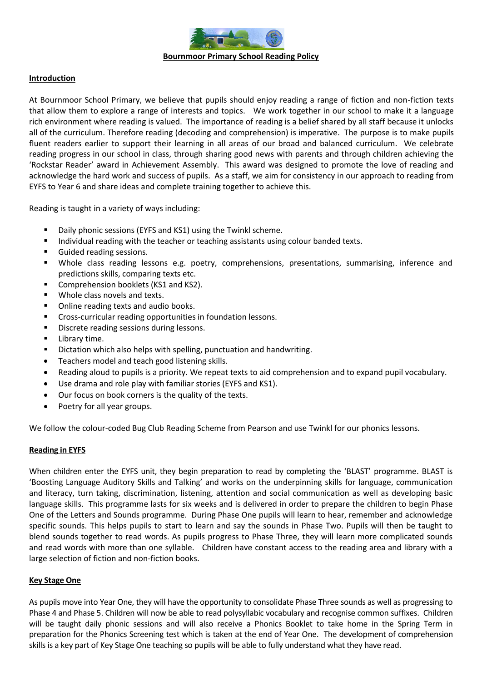

## **Introduction**

At Bournmoor School Primary, we believe that pupils should enjoy reading a range of fiction and non-fiction texts that allow them to explore a range of interests and topics. We work together in our school to make it a language rich environment where reading is valued. The importance of reading is a belief shared by all staff because it unlocks all of the curriculum. Therefore reading (decoding and comprehension) is imperative. The purpose is to make pupils fluent readers earlier to support their learning in all areas of our broad and balanced curriculum. We celebrate reading progress in our school in class, through sharing good news with parents and through children achieving the 'Rockstar Reader' award in Achievement Assembly. This award was designed to promote the love of reading and acknowledge the hard work and success of pupils. As a staff, we aim for consistency in our approach to reading from EYFS to Year 6 and share ideas and complete training together to achieve this.

Reading is taught in a variety of ways including:

- Daily phonic sessions (EYFS and KS1) using the Twinkl scheme.
- Individual reading with the teacher or teaching assistants using colour banded texts.
- Guided reading sessions.
- Whole class reading lessons e.g. poetry, comprehensions, presentations, summarising, inference and predictions skills, comparing texts etc.
- Comprehension booklets (KS1 and KS2).
- Whole class novels and texts.
- Online reading texts and audio books.
- Cross-curricular reading opportunities in foundation lessons.
- Discrete reading sessions during lessons.
- Library time.
- Dictation which also helps with spelling, punctuation and handwriting.
- Teachers model and teach good listening skills.
- Reading aloud to pupils is a priority. We repeat texts to aid comprehension and to expand pupil vocabulary.
- Use drama and role play with familiar stories (EYFS and KS1).
- Our focus on book corners is the quality of the texts.
- Poetry for all year groups.

We follow the colour-coded Bug Club Reading Scheme from Pearson and use Twinkl for our phonics lessons.

## **Reading in EYFS**

When children enter the EYFS unit, they begin preparation to read by completing the 'BLAST' programme. BLAST is 'Boosting Language Auditory Skills and Talking' and works on the underpinning skills for language, communication and literacy, turn taking, discrimination, listening, attention and social communication as well as developing basic language skills. This programme lasts for six weeks and is delivered in order to prepare the children to begin Phase One of the Letters and Sounds programme. During Phase One pupils will learn to hear, remember and acknowledge specific sounds. This helps pupils to start to learn and say the sounds in Phase Two. Pupils will then be taught to blend sounds together to read words. As pupils progress to Phase Three, they will learn more complicated sounds and read words with more than one syllable. Children have constant access to the reading area and library with a large selection of fiction and non-fiction books.

## **Key Stage One**

As pupils move into Year One, they will have the opportunity to consolidate Phase Three sounds as well as progressing to Phase 4 and Phase 5. Children will now be able to read polysyllabic vocabulary and recognise common suffixes. Children will be taught daily phonic sessions and will also receive a Phonics Booklet to take home in the Spring Term in preparation for the Phonics Screening test which is taken at the end of Year One. The development of comprehension skills is a key part of Key Stage One teaching so pupils will be able to fully understand what they have read.